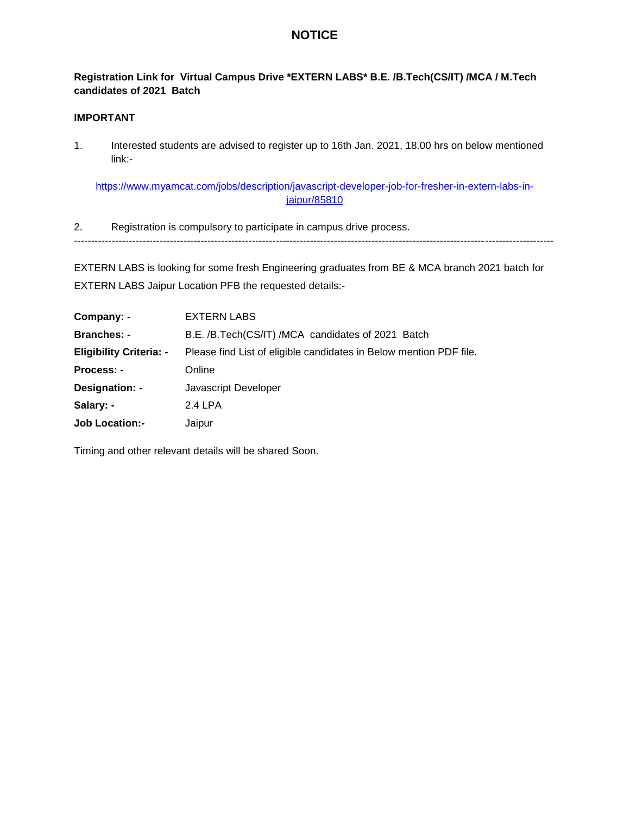## **NOTICE**

## **Registration Link for Virtual Campus Drive \*EXTERN LABS\* B.E. /B.Tech(CS/IT) /MCA / M.Tech candidates of 2021 Batch**

## **IMPORTANT**

1. Interested students are advised to register up to 16th Jan. 2021, 18.00 hrs on below mentioned link:-

https://www.myamcat.com/jobs/description/javascript-developer-job-for-fresher-in-extern-labs-injaipur/85810

2. Registration is compulsory to participate in campus drive process. --------------------------------------------------------------------------------------------------------------------------------------------

EXTERN LABS is looking for some fresh Engineering graduates from BE & MCA branch 2021 batch for EXTERN LABS Jaipur Location PFB the requested details:-

| Company: -                     | <b>EXTERN LABS</b>                                                 |
|--------------------------------|--------------------------------------------------------------------|
| <b>Branches: -</b>             | B.E. /B.Tech(CS/IT) /MCA candidates of 2021 Batch                  |
| <b>Eligibility Criteria: -</b> | Please find List of eligible candidates in Below mention PDF file. |
| Process: -                     | Online                                                             |
| Designation: -                 | Javascript Developer                                               |
| Salary: -                      | 2.4 LPA                                                            |
| <b>Job Location:-</b>          | Jaipur                                                             |

Timing and other relevant details will be shared Soon.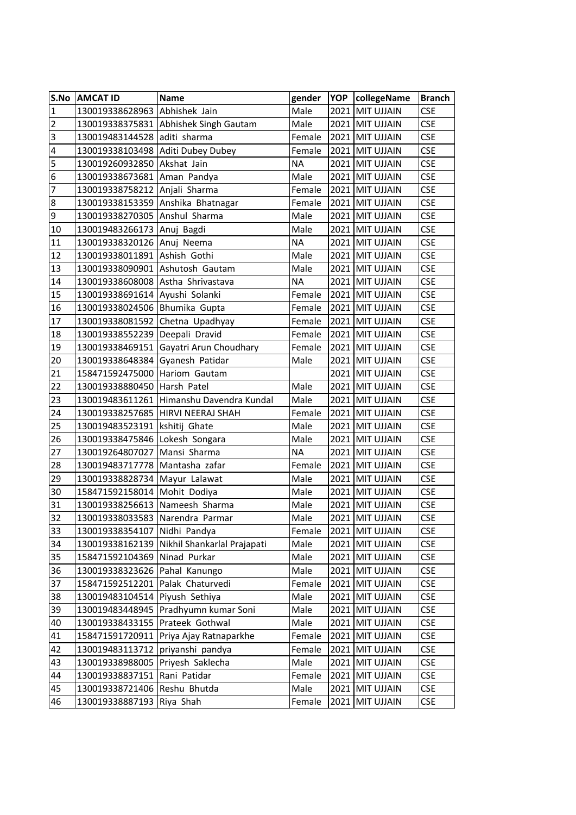| S.No             | <b>AMCAT ID</b>                   | <b>Name</b>                                 | gender    | <b>YOP</b> | collegeName       | <b>Branch</b>         |
|------------------|-----------------------------------|---------------------------------------------|-----------|------------|-------------------|-----------------------|
| $\overline{1}$   | 130019338628963 Abhishek Jain     |                                             | Male      |            | 2021 MIT UJJAIN   | <b>CSE</b>            |
| $\overline{2}$   |                                   | 130019338375831 Abhishek Singh Gautam       | Male      |            | 2021 MIT UJJAIN   | <b>CSE</b>            |
| $\overline{3}$   | 130019483144528 aditi sharma      |                                             | Female    |            | 2021 MIT UJJAIN   | <b>CSE</b>            |
| $\pmb{4}$        |                                   | 130019338103498 Aditi Dubey Dubey           | Female    |            | 2021 MIT UJJAIN   | <b>CSE</b>            |
| 5                | 130019260932850 Akshat Jain       |                                             | <b>NA</b> |            | 2021 MIT UJJAIN   | <b>CSE</b>            |
| $\boldsymbol{6}$ | 130019338673681 Aman Pandya       |                                             | Male      |            | 2021 MIT UJJAIN   | <b>CSE</b>            |
| $\overline{7}$   | 130019338758212 Anjali Sharma     |                                             | Female    |            | 2021 MIT UJJAIN   | <b>CSE</b>            |
| $\boldsymbol{8}$ |                                   | 130019338153359 Anshika Bhatnagar           | Female    |            | 2021 MIT UJJAIN   | <b>CSE</b>            |
| $\overline{9}$   | 130019338270305 Anshul Sharma     |                                             | Male      |            | 2021 MIT UJJAIN   | <b>CSE</b>            |
| 10               | 130019483266173                   | Anuj Bagdi                                  | Male      |            | 2021 MIT UJJAIN   | <b>CSE</b>            |
| 11               | 130019338320126                   | Anuj Neema                                  | <b>NA</b> |            | 2021 MIT UJJAIN   | <b>CSE</b>            |
| 12               | 130019338011891 Ashish Gothi      |                                             | Male      |            | 2021 MIT UJJAIN   | <b>CSE</b>            |
| 13               | 130019338090901 Ashutosh Gautam   |                                             | Male      |            | 2021 MIT UJJAIN   | <b>CSE</b>            |
| 14               | 130019338608008 Astha Shrivastava |                                             | <b>NA</b> |            | 2021 MIT UJJAIN   | <b>CSE</b>            |
| 15               | 130019338691614                   | Ayushi Solanki                              | Female    |            | 2021 MIT UJJAIN   | <b>CSE</b>            |
| 16               | 130019338024506 Bhumika Gupta     |                                             | Female    |            | 2021 MIT UJJAIN   | <b>CSE</b>            |
| 17               | 130019338081592 Chetna Upadhyay   |                                             | Female    |            | 2021 MIT UJJAIN   | <b>CSE</b>            |
| 18               | 130019338552239                   | Deepali Dravid                              | Female    |            | 2021 MIT UJJAIN   | <b>CSE</b>            |
| 19               | 130019338469151                   | Gayatri Arun Choudhary                      | Female    |            | 2021 MIT UJJAIN   | <b>CSE</b>            |
| 20               | 130019338648384                   | Gyanesh Patidar                             | Male      |            | 2021 MIT UJJAIN   | <b>CSE</b>            |
| 21               | 158471592475000 Hariom Gautam     |                                             |           |            | 2021 MIT UJJAIN   | <b>CSE</b>            |
| 22               | 130019338880450                   | Harsh Patel                                 | Male      |            | 2021 MIT UJJAIN   | <b>CSE</b>            |
| 23               |                                   | 130019483611261 Himanshu Davendra Kundal    | Male      |            | 2021 MIT UJJAIN   | <b>CSE</b>            |
| 24               |                                   | 130019338257685   HIRVI NEERAJ SHAH         | Female    |            | 2021 MIT UJJAIN   | <b>CSE</b>            |
| 25               | 130019483523191   kshitij Ghate   |                                             | Male      |            | 2021 MIT UJJAIN   | <b>CSE</b>            |
| 26               | 130019338475846                   | Lokesh Songara                              | Male      |            | 2021 MIT UJJAIN   | <b>CSE</b>            |
| 27               | 130019264807027                   | Mansi Sharma                                | <b>NA</b> |            | 2021 MIT UJJAIN   | <b>CSE</b>            |
| 28               | 130019483717778 Mantasha zafar    |                                             | Female    |            | 2021 MIT UJJAIN   | <b>CSE</b>            |
| 29               | 130019338828734 Mayur Lalawat     |                                             | Male      |            | 2021 MIT UJJAIN   | <b>CSE</b>            |
| 30               | 158471592158014                   | Mohit Dodiya                                | Male      |            | 2021 MIT UJJAIN   | <b>CSE</b>            |
| 31               | 130019338256613 Nameesh Sharma    |                                             | Male      |            | 2021 MIT UJJAIN   | <b>CSE</b>            |
| 32               | 130019338033583 Narendra Parmar   |                                             | Male      |            | 2021 MIT UJJAIN   | <b>CSE</b>            |
| 33               | 130019338354107                   | Nidhi Pandya                                | Female    |            | 2021 MIT UJJAIN   | <b>CSE</b>            |
| 34               |                                   | 130019338162139 Nikhil Shankarlal Prajapati | Male      |            | 2021 MIT UJJAIN   | <b>CSE</b>            |
| 35               | 158471592104369 Ninad Purkar      |                                             | Male      |            | 2021 MIT UJJAIN   | <b>CSE</b>            |
| 36               | 130019338323626 Pahal Kanungo     |                                             | Male      |            | 2021 MIT UJJAIN   | <b>CSE</b>            |
| 37               | 158471592512201                   | Palak Chaturvedi                            | Female    | 2021       | <b>MIT UJJAIN</b> | <b>CSE</b>            |
| 38               | 130019483104514                   | Piyush Sethiya                              | Male      |            | 2021 MIT UJJAIN   | <b>CSE</b>            |
| 39               | 130019483448945                   | Pradhyumn kumar Soni                        | Male      | 2021       | <b>MIT UJJAIN</b> | <b>CSE</b>            |
| 40               | 130019338433155 Prateek Gothwal   |                                             | Male      |            | 2021 MIT UJJAIN   | <b>CSE</b>            |
| 41               | 158471591720911                   | Priya Ajay Ratnaparkhe                      | Female    | 2021       | <b>MIT UJJAIN</b> | <b>CSE</b>            |
| 42               | 130019483113712                   | priyanshi pandya                            | Female    |            | 2021 MIT UJJAIN   | <b>CSE</b>            |
| 43               | 130019338988005                   | Priyesh Saklecha                            | Male      |            | 2021 MIT UJJAIN   | <b>CSE</b>            |
| 44               | 130019338837151                   | Rani Patidar                                | Female    |            | 2021 MIT UJJAIN   | <b>CSE</b>            |
| 45               | 130019338721406                   | Reshu Bhutda                                | Male      | 2021       | <b>MIT UJJAIN</b> | <b>CSE</b>            |
| 46               | 130019338887193 Riya Shah         |                                             | Female    |            | 2021 MIT UJJAIN   | $\mathsf{CSE}\xspace$ |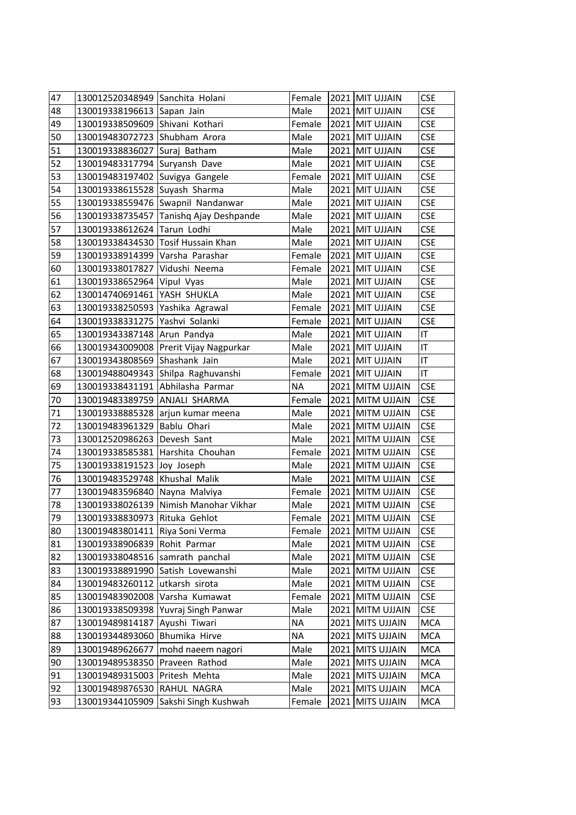| 47 | 130012520348949 Sanchita Holani  |                                          | Female    |      | 2021 MIT UJJAIN    | <b>CSE</b> |  |
|----|----------------------------------|------------------------------------------|-----------|------|--------------------|------------|--|
| 48 | 130019338196613 Sapan Jain       |                                          | Male      |      | 2021 MIT UJJAIN    | <b>CSE</b> |  |
| 49 | 130019338509609 Shivani Kothari  |                                          | Female    |      | 2021 MIT UJJAIN    | <b>CSE</b> |  |
| 50 | 130019483072723 Shubham Arora    |                                          | Male      |      | 2021 MIT UJJAIN    | <b>CSE</b> |  |
| 51 | 130019338836027                  | Suraj Batham                             | Male      |      | 2021 MIT UJJAIN    | <b>CSE</b> |  |
| 52 | 130019483317794 Suryansh Dave    |                                          | Male      |      | 2021 MIT UJJAIN    | <b>CSE</b> |  |
| 53 | 130019483197402 Suvigya Gangele  |                                          | Female    |      | 2021 MIT UJJAIN    | <b>CSE</b> |  |
| 54 | 130019338615528 Suyash Sharma    |                                          | Male      |      | 2021 MIT UJJAIN    | <b>CSE</b> |  |
| 55 |                                  | 130019338559476 Swapnil Nandanwar        | Male      |      | 2021 MIT UJJAIN    | <b>CSE</b> |  |
| 56 |                                  | 130019338735457 Tanishq Ajay Deshpande   | Male      |      | 2021 MIT UJJAIN    | <b>CSE</b> |  |
| 57 | 130019338612624 Tarun Lodhi      |                                          | Male      |      | 2021 MIT UJJAIN    | <b>CSE</b> |  |
| 58 |                                  | 130019338434530 Tosif Hussain Khan       | Male      |      | 2021 MIT UJJAIN    | <b>CSE</b> |  |
| 59 | 130019338914399 Varsha Parashar  |                                          | Female    |      | 2021 MIT UJJAIN    | <b>CSE</b> |  |
| 60 | 130019338017827 Vidushi Neema    |                                          | Female    |      | 2021 MIT UJJAIN    | <b>CSE</b> |  |
| 61 | 130019338652964 Vipul Vyas       |                                          | Male      |      | 2021 MIT UJJAIN    | <b>CSE</b> |  |
| 62 | 130014740691461 YASH SHUKLA      |                                          | Male      |      | 2021 MIT UJJAIN    | <b>CSE</b> |  |
| 63 | 130019338250593 Yashika Agrawal  |                                          | Female    |      | 2021 MIT UJJAIN    | <b>CSE</b> |  |
| 64 | 130019338331275 Yashvi Solanki   |                                          | Female    |      | 2021 MIT UJJAIN    | <b>CSE</b> |  |
| 65 | 130019343387148 Arun Pandya      |                                          | Male      |      | 2021 MIT UJJAIN    | IT         |  |
| 66 |                                  | 130019343009008   Prerit Vijay Nagpurkar | Male      |      | 2021 MIT UJJAIN    | IT         |  |
| 67 | 130019343808569 Shashank Jain    |                                          | Male      |      | 2021 MIT UJJAIN    | IT.        |  |
| 68 |                                  | 130019488049343 Shilpa Raghuvanshi       | Female    |      | 2021 MIT UJJAIN    | IT.        |  |
| 69 | 130019338431191 Abhilasha Parmar |                                          | NA        |      | 2021 MITM UJJAIN   | <b>CSE</b> |  |
| 70 | 130019483389759 ANJALI SHARMA    |                                          | Female    |      | 2021 MITM UJJAIN   | <b>CSE</b> |  |
| 71 |                                  | 130019338885328   arjun kumar meena      | Male      |      | 2021 MITM UJJAIN   | <b>CSE</b> |  |
| 72 | 130019483961329 Bablu Ohari      |                                          | Male      |      | 2021 MITM UJJAIN   | <b>CSE</b> |  |
| 73 | 130012520986263                  | Devesh Sant                              | Male      |      | 2021 MITM UJJAIN   | <b>CSE</b> |  |
| 74 | 130019338585381 Harshita Chouhan |                                          | Female    |      | 2021 MITM UJJAIN   | <b>CSE</b> |  |
| 75 | 130019338191523 Joy Joseph       |                                          | Male      |      | 2021 MITM UJJAIN   | <b>CSE</b> |  |
| 76 | 130019483529748 Khushal Malik    |                                          | Male      |      | 2021 MITM UJJAIN   | <b>CSE</b> |  |
| 77 | 130019483596840 Nayna Malviya    |                                          | Female    |      | 2021 MITM UJJAIN   | <b>CSE</b> |  |
| 78 |                                  | 130019338026139 Nimish Manohar Vikhar    | Male      |      | 2021 MITM UJJAIN   | <b>CSE</b> |  |
| 79 | 130019338830973 Rituka Gehlot    |                                          | Female    |      | 2021 MITM UJJAIN   | <b>CSE</b> |  |
| 80 | 130019483801411                  | Riya Soni Verma                          | Female    |      | 2021 MITM UJJAIN   | <b>CSE</b> |  |
| 81 | 130019338906839                  | Rohit Parmar                             | Male      |      | 2021 MITM UJJAIN   | <b>CSE</b> |  |
| 82 | 130019338048516                  | samrath panchal                          | Male      |      | 2021 MITM UJJAIN   | <b>CSE</b> |  |
| 83 | 130019338891990                  | Satish Lovewanshi                        | Male      |      | 2021 MITM UJJAIN   | <b>CSE</b> |  |
| 84 | 130019483260112                  | utkarsh sirota                           | Male      |      | 2021 MITM UJJAIN   | <b>CSE</b> |  |
| 85 | 130019483902008                  | Varsha Kumawat                           | Female    | 2021 | <b>MITM UJJAIN</b> | <b>CSE</b> |  |
| 86 | 130019338509398                  | Yuvraj Singh Panwar                      | Male      |      | 2021 MITM UJJAIN   | <b>CSE</b> |  |
| 87 | 130019489814187                  | Ayushi Tiwari                            | <b>NA</b> |      | 2021 MITS UJJAIN   | <b>MCA</b> |  |
| 88 | 130019344893060                  | Bhumika Hirve                            | <b>NA</b> |      | 2021 MITS UJJAIN   | <b>MCA</b> |  |
| 89 | 130019489626677                  | mohd naeem nagori                        | Male      | 2021 | <b>MITS UJJAIN</b> | <b>MCA</b> |  |
| 90 | 130019489538350                  | Praveen Rathod                           | Male      |      | 2021 MITS UJJAIN   | <b>MCA</b> |  |
| 91 | 130019489315003                  | Pritesh Mehta                            | Male      |      | 2021 MITS UJJAIN   | <b>MCA</b> |  |
| 92 | 130019489876530                  | RAHUL NAGRA                              | Male      |      | 2021 MITS UJJAIN   | <b>MCA</b> |  |
| 93 | 130019344105909                  | Sakshi Singh Kushwah                     | Female    |      | 2021 MITS UJJAIN   | <b>MCA</b> |  |